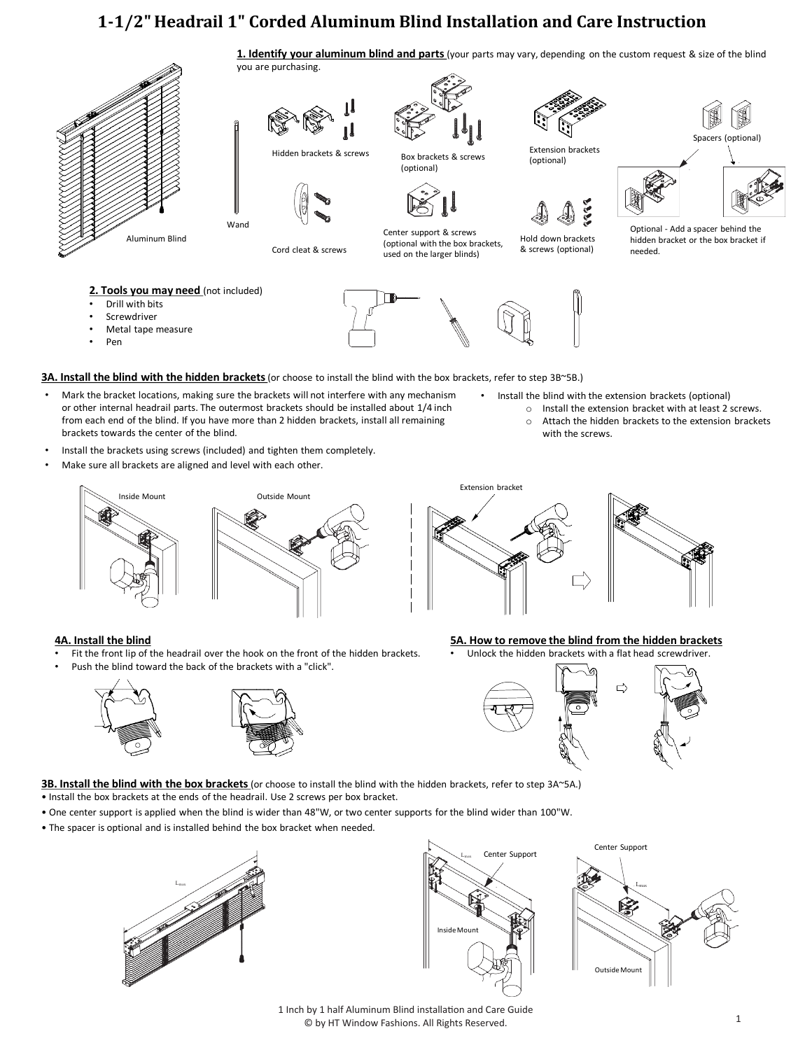# **1-1/2" Headrail 1" Corded Aluminum Blind Installation and Care Instruction**

**1. Identify your aluminum blind and parts** (your parts may vary, depending on the custom request & size of the blind



Pen

**3A. Install the blind with the hidden brackets** (or choose to install the blind with the box brackets, refer to step 3B~5B.)

- Mark the bracket locations, making sure the brackets will not interfere with any mechanism or other internal headrail parts. The outermost brackets should be installed about 1/4 inch from each end of the blind. If you have more than 2 hidden brackets, install all remaining brackets towards the center of the blind.
- Install the brackets using screws (included) and tighten them completely.
- Make sure all brackets are aligned and level with each other.





• Install the blind with the extension brackets (optional)

- o Install the extension bracket with at least 2 screws. o Attach the hidden brackets to the extension brackets
- - with the screws.



# **4A. Install the blind**

- Fit the front lip of the headrail over the hook on the front of the hidden brackets.
- Push the blind toward the back of the brackets with a "click".





**5A. How to remove the blind from the hidden brackets** Unlock the hidden brackets with a flat head screwdriver.



**3B. Install the blind with the box brackets** (or choose to install the blind with the hidden brackets, refer to step 3A~5A.)

- Install the box brackets at the ends of the headrail. Use 2 screws per box bracket.
- One center support is applied when the blind is wider than 48"W, or two center supports for the blind wider than 100"W.
- The spacer is optional and is installed behind the box bracket when needed.







1 Inch by 1 half Aluminum Blind installation and Care Guide © by HT Window Fashions. All Rights Reserved. 1